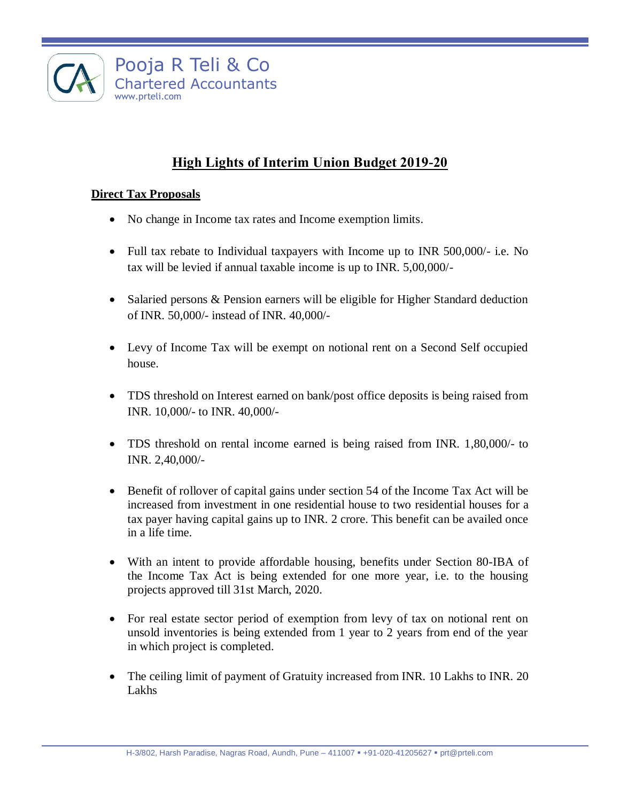

# **High Lights of Interim Union Budget 2019-20**

### **Direct Tax Proposals**

- No change in Income tax rates and Income exemption limits.
- Full tax rebate to Individual taxpayers with Income up to INR 500,000/- i.e. No tax will be levied if annual taxable income is up to INR. 5,00,000/-
- Salaried persons & Pension earners will be eligible for Higher Standard deduction of INR. 50,000/- instead of INR. 40,000/-
- Levy of Income Tax will be exempt on notional rent on a Second Self occupied house.
- TDS threshold on Interest earned on bank/post office deposits is being raised from INR. 10,000/- to INR. 40,000/-
- TDS threshold on rental income earned is being raised from INR. 1,80,000/- to INR. 2,40,000/-
- Benefit of rollover of capital gains under section 54 of the Income Tax Act will be increased from investment in one residential house to two residential houses for a tax payer having capital gains up to INR. 2 crore. This benefit can be availed once in a life time.
- With an intent to provide affordable housing, benefits under Section 80-IBA of the Income Tax Act is being extended for one more year, i.e. to the housing projects approved till 31st March, 2020.
- For real estate sector period of exemption from levy of tax on notional rent on unsold inventories is being extended from 1 year to 2 years from end of the year in which project is completed.
- The ceiling limit of payment of Gratuity increased from INR. 10 Lakhs to INR. 20 Lakhs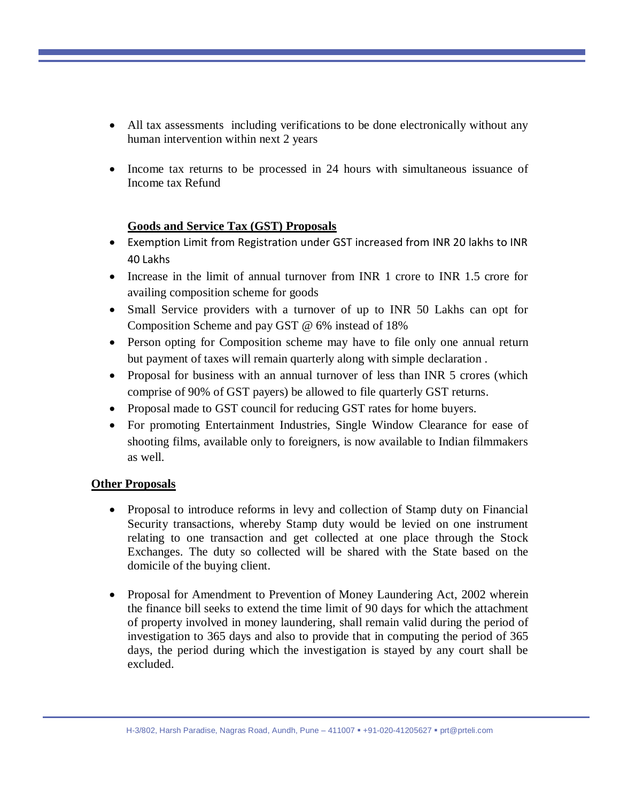- All tax assessments including verifications to be done electronically without any human intervention within next 2 years
- Income tax returns to be processed in 24 hours with simultaneous issuance of Income tax Refund

#### **Goods and Service Tax (GST) Proposals**

- Exemption Limit from Registration under GST increased from INR 20 lakhs to INR 40 Lakhs
- Increase in the limit of annual turnover from INR 1 crore to INR 1.5 crore for availing composition scheme for goods
- Small Service providers with a turnover of up to INR 50 Lakhs can opt for Composition Scheme and pay GST @ 6% instead of 18%
- Person opting for Composition scheme may have to file only one annual return but payment of taxes will remain quarterly along with simple declaration .
- Proposal for business with an annual turnover of less than INR 5 crores (which comprise of 90% of GST payers) be allowed to file quarterly GST returns.
- Proposal made to GST council for reducing GST rates for home buyers.
- For promoting Entertainment Industries, Single Window Clearance for ease of shooting films, available only to foreigners, is now available to Indian filmmakers as well.

### **Other Proposals**

- Proposal to introduce reforms in levy and collection of Stamp duty on Financial Security transactions, whereby Stamp duty would be levied on one instrument relating to one transaction and get collected at one place through the Stock Exchanges. The duty so collected will be shared with the State based on the domicile of the buying client.
- Proposal for Amendment to Prevention of Money Laundering Act, 2002 wherein the finance bill seeks to extend the time limit of 90 days for which the attachment of property involved in money laundering, shall remain valid during the period of investigation to 365 days and also to provide that in computing the period of 365 days, the period during which the investigation is stayed by any court shall be excluded.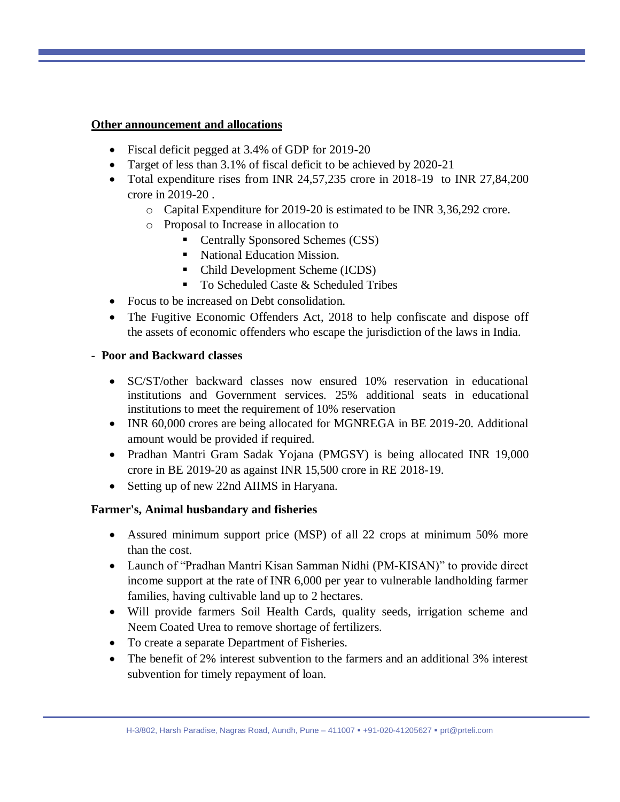#### **Other announcement and allocations**

- Fiscal deficit pegged at 3.4% of GDP for 2019-20
- Target of less than 3.1% of fiscal deficit to be achieved by 2020-21
- Total expenditure rises from INR 24,57,235 crore in 2018-19 to INR 27,84,200 crore in 2019-20 .
	- o Capital Expenditure for 2019-20 is estimated to be INR 3,36,292 crore.
	- o Proposal to Increase in allocation to
		- Centrally Sponsored Schemes (CSS)
		- National Education Mission.
		- Child Development Scheme (ICDS)
		- To Scheduled Caste & Scheduled Tribes
- Focus to be increased on Debt consolidation.
- The Fugitive Economic Offenders Act, 2018 to help confiscate and dispose off the assets of economic offenders who escape the jurisdiction of the laws in India.

### - **Poor and Backward classes**

- SC/ST/other backward classes now ensured 10% reservation in educational institutions and Government services. 25% additional seats in educational institutions to meet the requirement of 10% reservation
- INR 60,000 crores are being allocated for MGNREGA in BE 2019-20. Additional amount would be provided if required.
- Pradhan Mantri Gram Sadak Yojana (PMGSY) is being allocated INR 19,000 crore in BE 2019-20 as against INR 15,500 crore in RE 2018-19.
- Setting up of new 22nd AIIMS in Haryana.

### **Farmer's, Animal husbandary and fisheries**

- Assured minimum support price (MSP) of all 22 crops at minimum 50% more than the cost.
- Launch of "Pradhan Mantri Kisan Samman Nidhi (PM-KISAN)" to provide direct income support at the rate of INR 6,000 per year to vulnerable landholding farmer families, having cultivable land up to 2 hectares.
- Will provide farmers Soil Health Cards, quality seeds, irrigation scheme and Neem Coated Urea to remove shortage of fertilizers.
- To create a separate Department of Fisheries.
- The benefit of 2% interest subvention to the farmers and an additional 3% interest subvention for timely repayment of loan.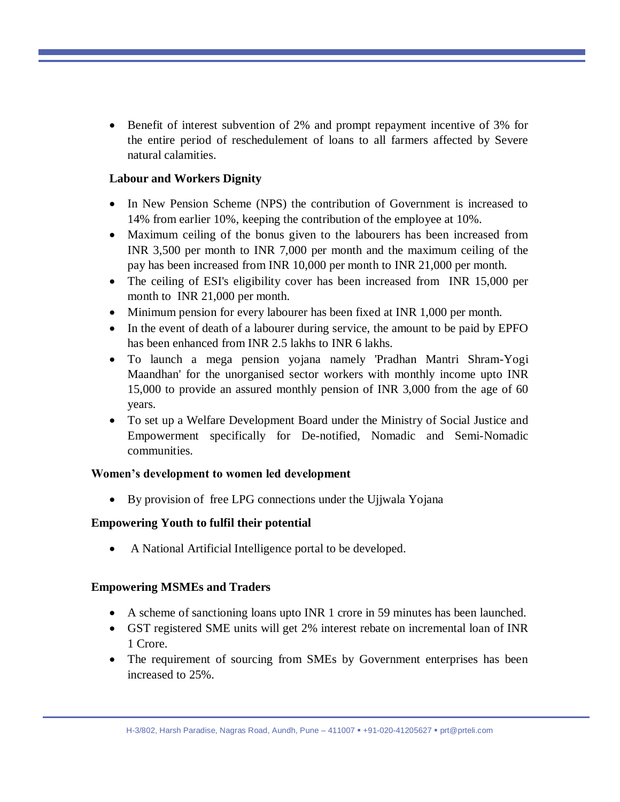Benefit of interest subvention of 2% and prompt repayment incentive of 3% for the entire period of reschedulement of loans to all farmers affected by Severe natural calamities.

## **Labour and Workers Dignity**

- In New Pension Scheme (NPS) the contribution of Government is increased to 14% from earlier 10%, keeping the contribution of the employee at 10%.
- Maximum ceiling of the bonus given to the labourers has been increased from INR 3,500 per month to INR 7,000 per month and the maximum ceiling of the pay has been increased from INR 10,000 per month to INR 21,000 per month.
- The ceiling of ESI's eligibility cover has been increased from INR 15,000 per month to INR 21,000 per month.
- Minimum pension for every labourer has been fixed at INR 1,000 per month.
- In the event of death of a labourer during service, the amount to be paid by EPFO has been enhanced from INR 2.5 lakhs to INR 6 lakhs.
- To launch a mega pension yojana namely 'Pradhan Mantri Shram-Yogi Maandhan' for the unorganised sector workers with monthly income upto INR 15,000 to provide an assured monthly pension of INR 3,000 from the age of 60 years.
- To set up a Welfare Development Board under the Ministry of Social Justice and Empowerment specifically for De-notified, Nomadic and Semi-Nomadic communities.

### **Women's development to women led development**

• By provision of free LPG connections under the Ujjwala Yojana

# **Empowering Youth to fulfil their potential**

A National Artificial Intelligence portal to be developed.

### **Empowering MSMEs and Traders**

- A scheme of sanctioning loans upto INR 1 crore in 59 minutes has been launched.
- GST registered SME units will get 2% interest rebate on incremental loan of INR 1 Crore.
- The requirement of sourcing from SMEs by Government enterprises has been increased to 25%.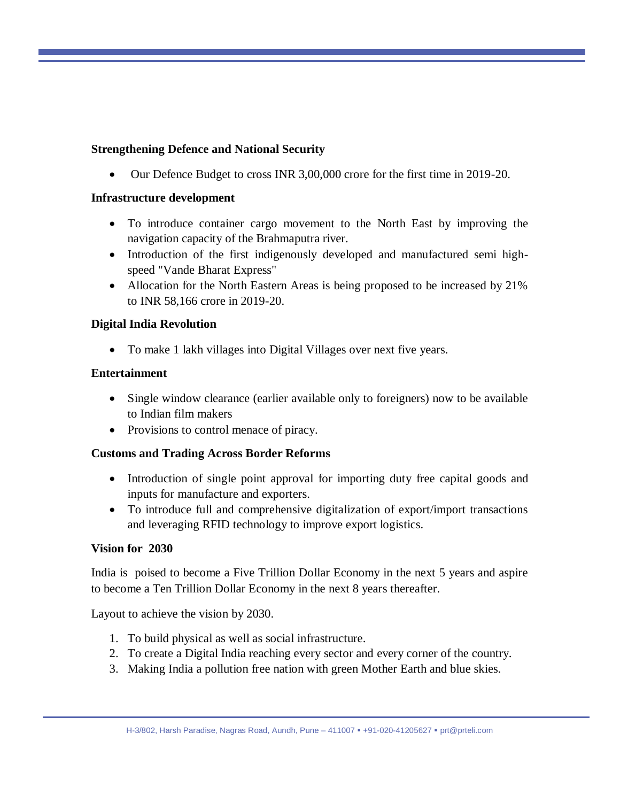### **Strengthening Defence and National Security**

Our Defence Budget to cross INR 3,00,000 crore for the first time in 2019-20.

### **Infrastructure development**

- To introduce container cargo movement to the North East by improving the navigation capacity of the Brahmaputra river.
- Introduction of the first indigenously developed and manufactured semi highspeed "Vande Bharat Express"
- Allocation for the North Eastern Areas is being proposed to be increased by 21% to INR 58,166 crore in 2019-20.

### **Digital India Revolution**

To make 1 lakh villages into Digital Villages over next five years.

### **Entertainment**

- Single window clearance (earlier available only to foreigners) now to be available to Indian film makers
- Provisions to control menace of piracy.

### **Customs and Trading Across Border Reforms**

- Introduction of single point approval for importing duty free capital goods and inputs for manufacture and exporters.
- To introduce full and comprehensive digitalization of export/import transactions and leveraging RFID technology to improve export logistics.

### **Vision for 2030**

India is poised to become a Five Trillion Dollar Economy in the next 5 years and aspire to become a Ten Trillion Dollar Economy in the next 8 years thereafter.

Layout to achieve the vision by 2030.

- 1. To build physical as well as social infrastructure.
- 2. To create a Digital India reaching every sector and every corner of the country.
- 3. Making India a pollution free nation with green Mother Earth and blue skies.